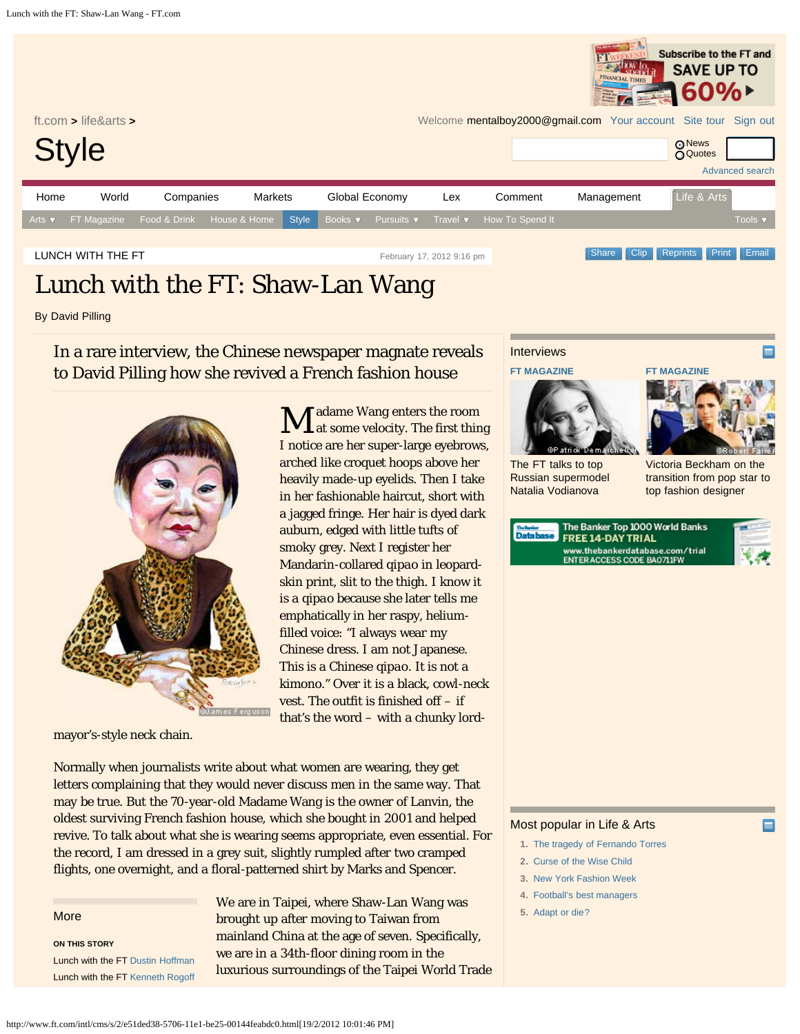<span id="page-0-0"></span>

# Lunch with the FT: Shaw-Lan Wang

By David Pilling

In a rare interview, the Chinese newspaper magnate reveals to David Pilling how she revived a French fashion house



mayor's-style neck chain.

M adame Wang enters the room at some velocity. The first thing I notice are her super-large eyebrows, arched like croquet hoops above her heavily made-up eyelids. Then I take in her fashionable haircut, short with a jagged fringe. Her hair is dyed dark auburn, edged with little tufts of smoky grey. Next I register her Mandarin-collared *qipao* in leopardskin print, slit to the thigh. I know it is a *qipao* because she later tells me emphatically in her raspy, heliumfilled voice: "I always wear my Chinese dress. I am not Japanese. This is a Chinese *qipao*. It is not a kimono." Over it is a black, cowl-neck vest. The outfit is finished off – if that's the word – with a chunky lord-

Normally when journalists write about what women are wearing, they get letters complaining that they would never discuss men in the same way. That may be true. But the 70-year-old Madame Wang is the owner of Lanvin, the oldest surviving French fashion house, which she bought in 2001 and helped revive. To talk about what she is wearing seems appropriate, even essential. For the record, I am dressed in a grey suit, slightly rumpled after two cramped flights, one overnight, and a floral-patterned shirt by Marks and Spencer.

**ON THIS STORY** Lunch with the FT [Dustin Hoffman](http://www.ft.com/cms/s/2/e6c74c02-5241-11e1-a155-00144feabdc0.html) Lunch with the FT [Kenneth Rogoff](http://www.ft.com/cms/s/2/5cfe15e0-4cca-11e1-8741-00144feabdc0.html)

We are in Taipei, where Shaw-Lan Wang was **More 1988 brought up after moving to Taiwan from 5.** [Adapt or die?](http://www.ft.com/intl/cms/s/2/49c09ba8-5308-11e1-950d-00144feabdc0.html#axzz1mV9tUq4o) mainland China at the age of seven. Specifically, we are in a 34th-floor dining room in the luxurious surroundings of the Taipei World Trade

## **Interviews**



**[FT MAGAZINE](http://www.ft.com/intl/cms/s/2/d6b20408-1fc2-11e1-9916-00144feabdc0.html#axzz1kIbHggAk)**

[The FT talks to top](http://www.ft.com/intl/cms/s/2/e66dcf52-2608-11e1-856e-00144feabdc0.html) [Russian supermodel](http://www.ft.com/intl/cms/s/2/e66dcf52-2608-11e1-856e-00144feabdc0.html) [Natalia Vodianova](http://www.ft.com/intl/cms/s/2/e66dcf52-2608-11e1-856e-00144feabdc0.html)

[Victoria Beckham on the](http://www.ft.com/intl/cms/s/2/d6b20408-1fc2-11e1-9916-00144feabdc0.html#axzz1kIbHggAk) [transition from pop star to](http://www.ft.com/intl/cms/s/2/d6b20408-1fc2-11e1-9916-00144feabdc0.html#axzz1kIbHggAk) [top fashion designer](http://www.ft.com/intl/cms/s/2/d6b20408-1fc2-11e1-9916-00144feabdc0.html#axzz1kIbHggAk)

The Banker Top 1000 World Banks FREE 14-DAY TRIAL www.thebankerdatabase.com/trial<br>ENTERACCESS CODE BA071IFW



#### Most popular in Life & Arts

- **1.** [The tragedy of Fernando Torres](http://www.ft.com/intl/cms/s/2/e7c80640-5788-11e1-869b-00144feabdc0.html#axzz1mV9tUq4o)
- **2.** [Curse of the Wise Child](http://www.ft.com/intl/cms/s/2/e6796984-5885-11e1-b9c6-00144feabdc0.html)
- **3.** [New York Fashion Week](http://www.ft.com/intl/cms/s/0/c238a202-5627-11e1-8dfa-00144feabdc0.html#axzz1mV9tUq4o)
- **4.** [Football's best managers](http://www.ft.com/intl/cms/s/2/f340caae-47cd-11e1-b646-00144feabdc0.html#axzz1mV9tUq4o)
-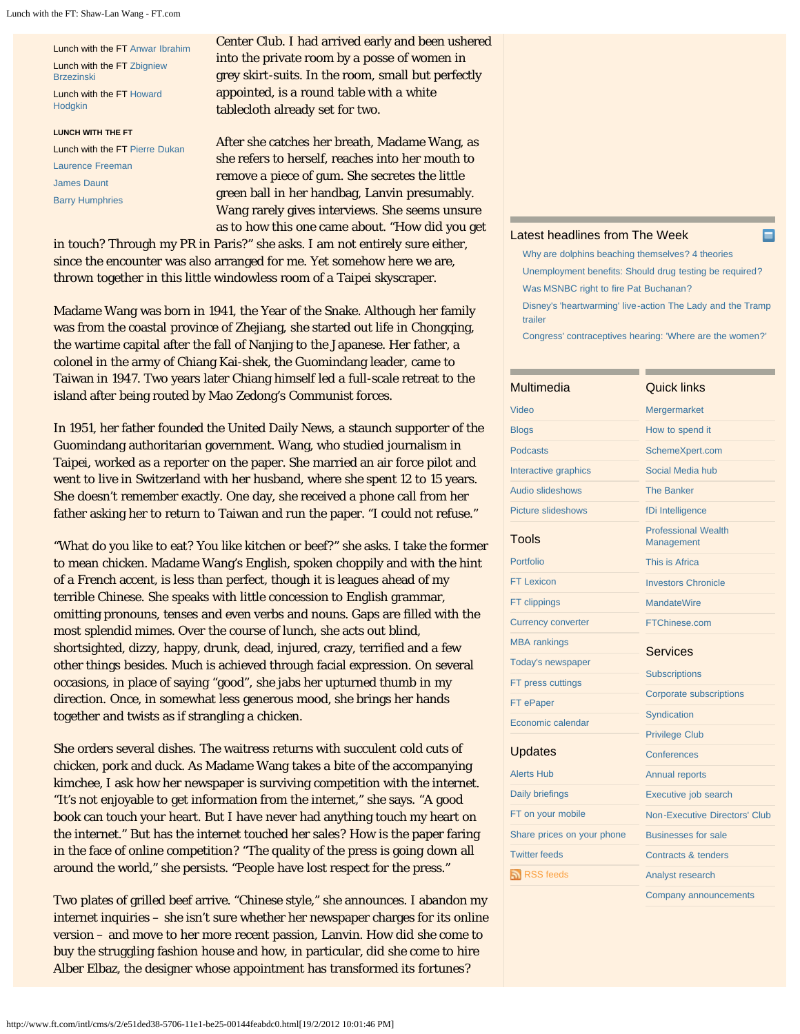Lunch with the FT [Anwar Ibrahim](http://www.ft.com/cms/s/2/057b98ba-46a3-11e1-85e2-00144feabdc0.html) Lunch with the FT [Zbigniew](http://www.ft.com/cms/s/2/4d03c5f6-3ac1-11e1-a756-00144feabdc0.html) [Brzezinski](http://www.ft.com/cms/s/2/4d03c5f6-3ac1-11e1-a756-00144feabdc0.html) Lunch with the FT [Howard](http://www.ft.com/cms/s/2/9d18a3d4-412b-11e1-936b-00144feab49a.html)

**[Hodgkin](http://www.ft.com/cms/s/2/9d18a3d4-412b-11e1-936b-00144feab49a.html)** 

#### **LUNCH WITH THE FT**

Lunch with the FT [Pierre Dukan](http://www.ft.com/cms/s/2/3b1ed3c2-2cd3-11e1-b485-00144feabdc0.html) [Laurence Freeman](http://www.ft.com/cms/s/2/b5c16414-265c-11e1-85fb-00144feabdc0.html) [James Daunt](http://www.ft.com/cms/s/2/0f7f2224-256e-11e1-9cb0-00144feabdc0.html) [Barry Humphries](http://www.ft.com/cms/s/2/fb4f8ae2-2003-11e1-8662-00144feabdc0.html)

Center Club. I had arrived early and been ushered into the private room by a posse of women in grey skirt-suits. In the room, small but perfectly appointed, is a round table with a white tablecloth already set for two.

After she catches her breath, Madame Wang, as she refers to herself, reaches into her mouth to remove a piece of gum. She secretes the little green ball in her handbag, Lanvin presumably. Wang rarely gives interviews. She seems unsure as to how this one came about. "How did you get

in touch? Through my PR in Paris?" she asks. I am not entirely sure either, since the encounter was also arranged for me. Yet somehow here we are, thrown together in this little windowless room of a Taipei skyscraper.

Madame Wang was born in 1941, the Year of the Snake. Although her family was from the coastal province of Zhejiang, she started out life in Chongqing, the wartime capital after the fall of Nanjing to the Japanese. Her father, a colonel in the army of Chiang Kai-shek, the Guomindang leader, came to Taiwan in 1947. Two years later Chiang himself led a full-scale retreat to the island after being routed by Mao Zedong's Communist forces.

In 1951, her father founded the United Daily News, a staunch supporter of the Guomindang authoritarian government. Wang, who studied journalism in Taipei, worked as a reporter on the paper. She married an air force pilot and went to live in Switzerland with her husband, where she spent 12 to 15 years. She doesn't remember exactly. One day, she received a phone call from her father asking her to return to Taiwan and run the paper. "I could not refuse."

"What do you like to eat? You like kitchen or beef?" she asks. I take the former to mean chicken. Madame Wang's English, spoken choppily and with the hint of a French accent, is less than perfect, though it is leagues ahead of my terrible Chinese. She speaks with little concession to English grammar, omitting pronouns, tenses and even verbs and nouns. Gaps are filled with the most splendid mimes. Over the course of lunch, she acts out blind, shortsighted, dizzy, happy, drunk, dead, injured, crazy, terrified and a few other things besides. Much is achieved through facial expression. On several occasions, in place of saying "good", she jabs her upturned thumb in my direction. Once, in somewhat less generous mood, she brings her hands together and twists as if strangling a chicken.

She orders several dishes. The waitress returns with succulent cold cuts of chicken, pork and duck. As Madame Wang takes a bite of the accompanying kimchee, I ask how her newspaper is surviving competition with the internet. "It's not enjoyable to get information from the internet," she says. "A good book can touch your heart. But I have never had anything touch my heart on the internet." But has the internet touched her sales? How is the paper faring in the face of online competition? "The quality of the press is going down all around the world," she persists. "People have lost respect for the press."

Two plates of grilled beef arrive. "Chinese style," she announces. I abandon my internet inquiries – she isn't sure whether her newspaper charges for its online version – and move to her more recent passion, Lanvin. How did she come to buy the struggling fashion house and how, in particular, did she come to hire Alber Elbaz, the designer whose appointment has transformed its fortunes?

#### [Latest headlines from The Week](http://theweek.com/)

[Why are dolphins beaching themselves? 4 theories](http://theweek.com/article/index/224599/why-are-dolphins-beaching-themselves-4-theories) [Unemployment benefits: Should drug testing be required?](http://theweek.com/article/index/224615/unemployment-benefits-should-drug-testing-be-required) [Was MSNBC right to fire Pat Buchanan?](http://theweek.com/article/index/224614/was-msnbc-right-to-fire-pat-buchanan)

Е

[Disney's 'heartwarming' live-action The Lady and the Tramp](http://theweek.com/article/index/224611/disneys-heartwarming-live-action-the-lady-and-the-tramp-trailer) [trailer](http://theweek.com/article/index/224611/disneys-heartwarming-live-action-the-lady-and-the-tramp-trailer)

[Congress' contraceptives hearing: 'Where are the women?'](http://theweek.com/article/index/224609/congress-contraceptives-hearing-where-are-the-women)

| Multimedia                 | <b>Quick links</b>                       |
|----------------------------|------------------------------------------|
| Video                      | Mergermarket                             |
| <b>Blogs</b>               | How to spend it                          |
| <b>Podcasts</b>            | SchemeXpert.com                          |
| Interactive graphics       | Social Media hub                         |
| <b>Audio slideshows</b>    | <b>The Banker</b>                        |
| <b>Picture slideshows</b>  | fDi Intelligence                         |
| Tools                      | <b>Professional Wealth</b><br>Management |
| <b>Portfolio</b>           | This is Africa                           |
| <b>FT Lexicon</b>          | <b>Investors Chronicle</b>               |
| <b>FT</b> clippings        | <b>MandateWire</b>                       |
| <b>Currency converter</b>  | FTChinese.com                            |
| <b>MBA</b> rankings        | <b>Services</b>                          |
| <b>Today's newspaper</b>   |                                          |
| FT press cuttings          | <b>Subscriptions</b>                     |
| FT ePaper                  | <b>Corporate subscriptions</b>           |
| Economic calendar          | Syndication                              |
|                            | <b>Privilege Club</b>                    |
| <b>Updates</b>             | Conferences                              |
| <b>Alerts Hub</b>          | <b>Annual reports</b>                    |
| Daily briefings            | Executive job search                     |
| FT on your mobile          | Non-Executive Directors' Club            |
| Share prices on your phone | <b>Businesses for sale</b>               |
| <b>Twitter feeds</b>       | Contracts & tenders                      |
| <b>RSS</b> feeds           | Analyst research                         |
|                            | Company announcements                    |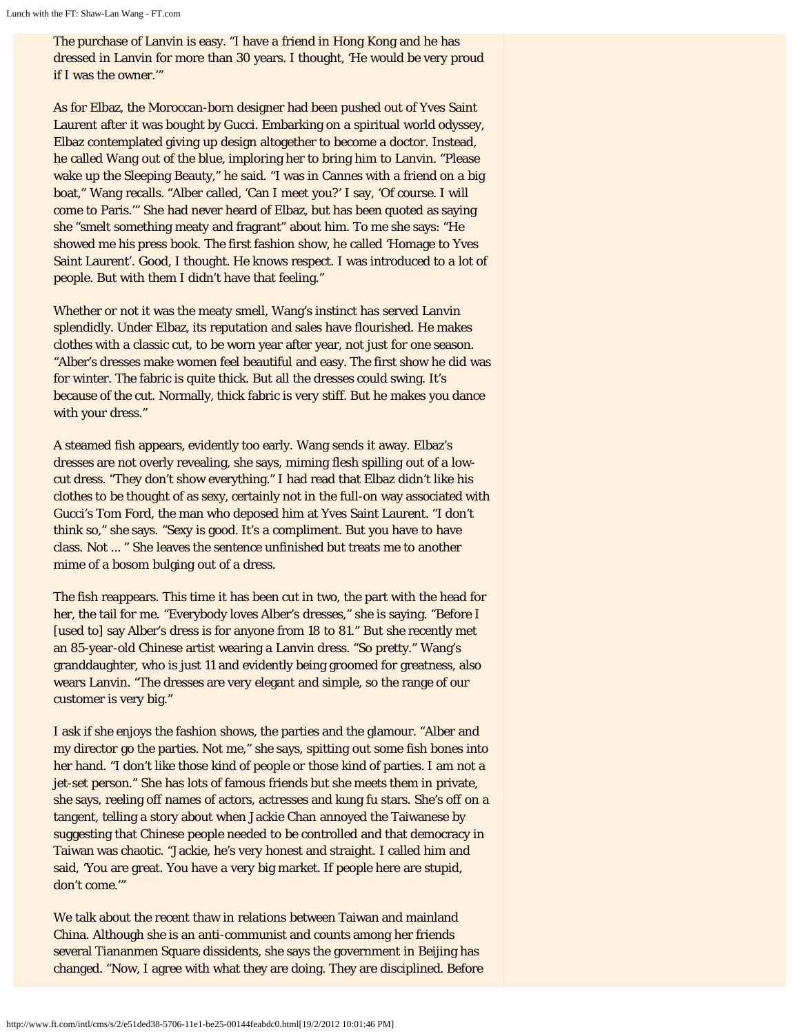The purchase of Lanvin is easy. "I have a friend in Hong Kong and he has dressed in Lanvin for more than 30 years. I thought, 'He would be very proud if I was the owner.'"

As for Elbaz, the Moroccan-born designer had been pushed out of Yves Saint Laurent after it was bought by Gucci. Embarking on a spiritual world odyssey, Elbaz contemplated giving up design altogether to become a doctor. Instead, he called Wang out of the blue, imploring her to bring him to Lanvin. "Please wake up the Sleeping Beauty," he said. "I was in Cannes with a friend on a big boat," Wang recalls. "Alber called, 'Can I meet you?' I say, 'Of course. I will come to Paris.'" She had never heard of Elbaz, but has been quoted as saying she "smelt something meaty and fragrant" about him. To me she says: "He showed me his press book. The first fashion show, he called 'Homage to Yves Saint Laurent'. Good, I thought. He knows respect. I was introduced to a lot of people. But with them I didn't have that feeling."

Whether or not it was the meaty smell, Wang's instinct has served Lanvin splendidly. Under Elbaz, its reputation and sales have flourished. He makes clothes with a classic cut, to be worn year after year, not just for one season. "Alber's dresses make women feel beautiful and easy. The first show he did was for winter. The fabric is quite thick. But all the dresses could swing. It's because of the cut. Normally, thick fabric is very stiff. But he makes you dance with your dress."

A steamed fish appears, evidently too early. Wang sends it away. Elbaz's dresses are not overly revealing, she says, miming flesh spilling out of a lowcut dress. "They don't show everything." I had read that Elbaz didn't like his clothes to be thought of as sexy, certainly not in the full-on way associated with Gucci's Tom Ford, the man who deposed him at Yves Saint Laurent. "I don't think so," she says. "Sexy is good. It's a compliment. But you have to have class. Not ... " She leaves the sentence unfinished but treats me to another mime of a bosom bulging out of a dress.

The fish reappears. This time it has been cut in two, the part with the head for her, the tail for me. "Everybody loves Alber's dresses," she is saying. "Before I [used to] say Alber's dress is for anyone from 18 to 81." But she recently met an 85-year-old Chinese artist wearing a Lanvin dress. "So pretty." Wang's granddaughter, who is just 11 and evidently being groomed for greatness, also wears Lanvin. "The dresses are very elegant and simple, so the range of our customer is very big."

I ask if she enjoys the fashion shows, the parties and the glamour. "Alber and my director go the parties. Not me," she says, spitting out some fish bones into her hand. "I don't like those kind of people or those kind of parties. I am not a jet-set person." She has lots of famous friends but she meets them in private, she says, reeling off names of actors, actresses and kung fu stars. She's off on a tangent, telling a story about when Jackie Chan annoyed the Taiwanese by suggesting that Chinese people needed to be controlled and that democracy in Taiwan was chaotic. "Jackie, he's very honest and straight. I called him and said, 'You are great. You have a very big market. If people here are stupid, don't come.'"

We talk about the recent thaw in relations between Taiwan and mainland China. Although she is an anti-communist and counts among her friends several Tiananmen Square dissidents, she says the government in Beijing has changed. "Now, I agree with what they are doing. They are disciplined. Before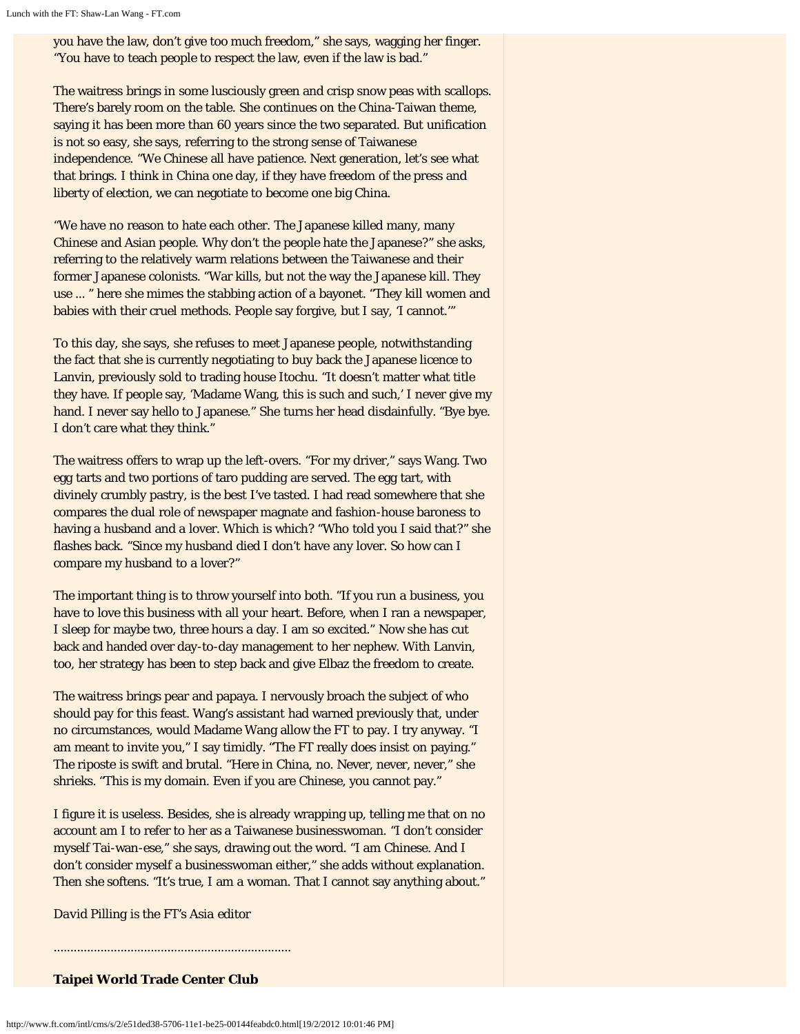you have the law, don't give too much freedom," she says, wagging her finger. "You have to teach people to respect the law, even if the law is bad."

The waitress brings in some lusciously green and crisp snow peas with scallops. There's barely room on the table. She continues on the China-Taiwan theme, saying it has been more than 60 years since the two separated. But unification is not so easy, she says, referring to the strong sense of Taiwanese independence. "We Chinese all have patience. Next generation, let's see what that brings. I think in China one day, if they have freedom of the press and liberty of election, we can negotiate to become one big China.

"We have no reason to hate each other. The Japanese killed many, many Chinese and Asian people. Why don't the people hate the Japanese?" she asks, referring to the relatively warm relations between the Taiwanese and their former Japanese colonists. "War kills, but not the way the Japanese kill. They use ... " here she mimes the stabbing action of a bayonet. "They kill women and babies with their cruel methods. People say forgive, but I say, 'I cannot.'"

To this day, she says, she refuses to meet Japanese people, notwithstanding the fact that she is currently negotiating to buy back the Japanese licence to Lanvin, previously sold to trading house Itochu. "It doesn't matter what title they have. If people say, 'Madame Wang, this is such and such,' I never give my hand. I never say hello to Japanese." She turns her head disdainfully. "Bye bye. I don't care what they think."

The waitress offers to wrap up the left-overs. "For my driver," says Wang. Two egg tarts and two portions of taro pudding are served. The egg tart, with divinely crumbly pastry, is the best I've tasted. I had read somewhere that she compares the dual role of newspaper magnate and fashion-house baroness to having a husband and a lover. Which is which? "Who told you I said that?" she flashes back. "Since my husband died I don't have any lover. So how can I compare my husband to a lover?"

The important thing is to throw yourself into both. "If you run a business, you have to love this business with all your heart. Before, when I ran a newspaper, I sleep for maybe two, three hours a day. I am so excited." Now she has cut back and handed over day-to-day management to her nephew. With Lanvin, too, her strategy has been to step back and give Elbaz the freedom to create.

The waitress brings pear and papaya. I nervously broach the subject of who should pay for this feast. Wang's assistant had warned previously that, under no circumstances, would Madame Wang allow the FT to pay. I try anyway. "I am meant to invite you," I say timidly. "The FT really does insist on paying." The riposte is swift and brutal. "Here in China, no. Never, never, never," she shrieks. "This is my domain. Even if you are Chinese, you cannot pay."

I figure it is useless. Besides, she is already wrapping up, telling me that on no account am I to refer to her as a Taiwanese businesswoman. "I don't consider myself Tai-wan-ese," she says, drawing out the word. "I am Chinese. And I don't consider myself a businesswoman either," she adds without explanation. Then she softens. "It's true, I am a woman. That I cannot say anything about."

*David Pilling is the FT's Asia editor*

**Taipei World Trade Center Club**

.......................................................................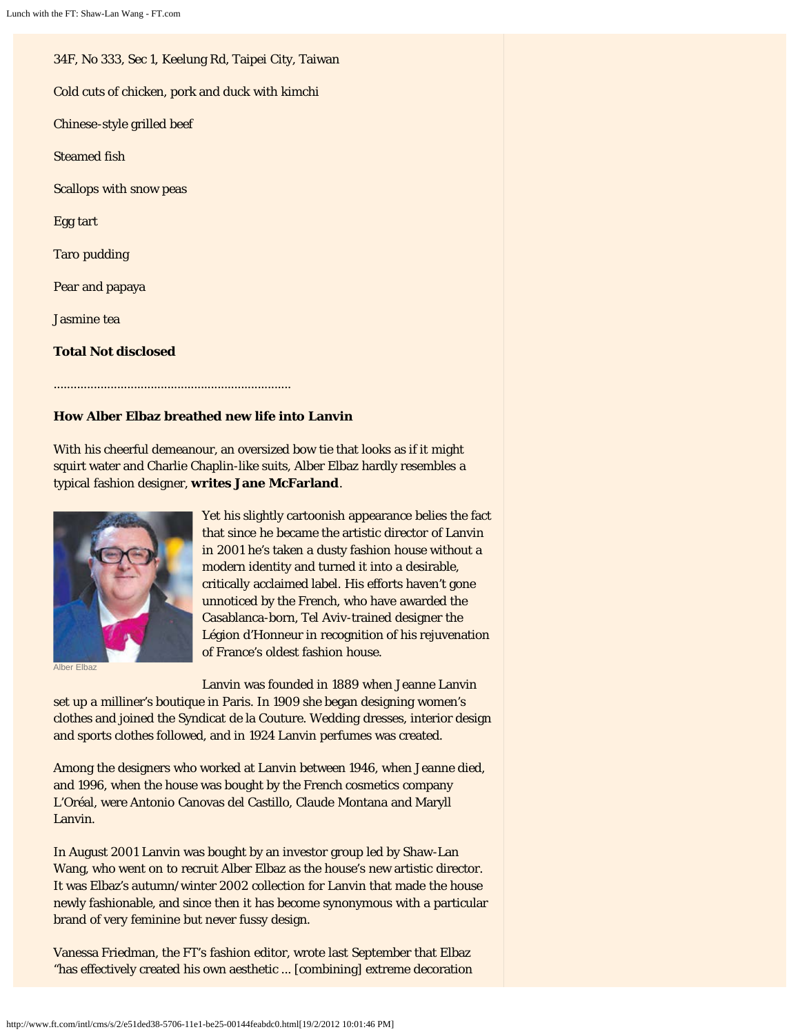34F, No 333, Sec 1, Keelung Rd, Taipei City, Taiwan Cold cuts of chicken, pork and duck with kimchi Chinese-style grilled beef Steamed fish Scallops with snow peas Egg tart Taro pudding Pear and papaya Jasmine tea **Total Not disclosed**

### **How Alber Elbaz breathed new life into Lanvin**

.......................................................................

With his cheerful demeanour, an oversized bow tie that looks as if it might squirt water and Charlie Chaplin-like suits, Alber Elbaz hardly resembles a typical fashion designer, **writes Jane McFarland**.



Alber Elbaz

Yet his slightly cartoonish appearance belies the fact that since he became the artistic director of Lanvin in 2001 he's taken a dusty fashion house without a modern identity and turned it into a desirable, critically acclaimed label. His efforts haven't gone unnoticed by the French, who have awarded the Casablanca-born, Tel Aviv-trained designer the Légion d'Honneur in recognition of his rejuvenation of France's oldest fashion house.

Lanvin was founded in 1889 when Jeanne Lanvin

set up a milliner's boutique in Paris. In 1909 she began designing women's clothes and joined the Syndicat de la Couture. Wedding dresses, interior design and sports clothes followed, and in 1924 Lanvin perfumes was created.

Among the designers who worked at Lanvin between 1946, when Jeanne died, and 1996, when the house was bought by the French cosmetics company L'Oréal, were Antonio Canovas del Castillo, Claude Montana and Maryll Lanvin.

In August 2001 Lanvin was bought by an investor group led by Shaw-Lan Wang, who went on to recruit Alber Elbaz as the house's new artistic director. It was Elbaz's autumn/winter 2002 collection for Lanvin that made the house newly fashionable, and since then it has become synonymous with a particular brand of very feminine but never fussy design.

Vanessa Friedman, the FT's fashion editor, wrote last September that Elbaz "has effectively created his own aesthetic ... [combining] extreme decoration